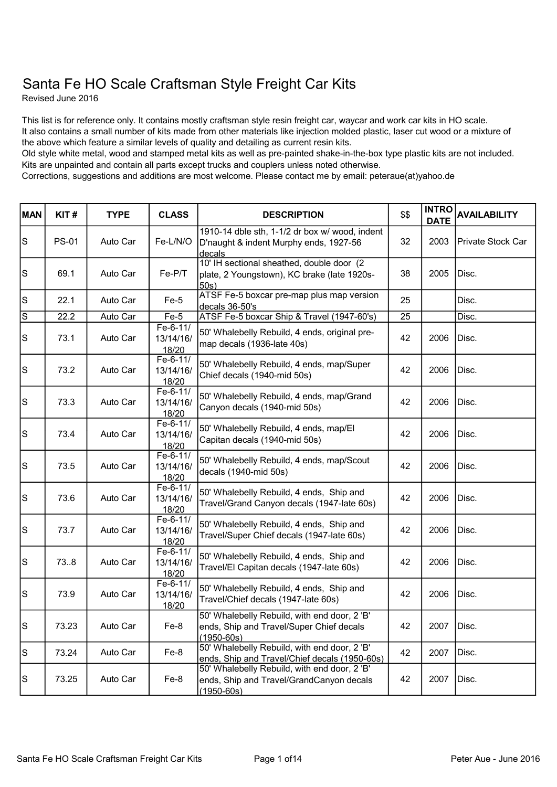## Santa Fe HO Scale Craftsman Style Freight Car Kits

Revised June 2016

This list is for reference only. It contains mostly craftsman style resin freight car, waycar and work car kits in HO scale. It also contains a small number of kits made from other materials like injection molded plastic, laser cut wood or a mixture of the above which feature a similar levels of quality and detailing as current resin kits.

Old style white metal, wood and stamped metal kits as well as pre-painted shake-in-the-box type plastic kits are not included. Kits are unpainted and contain all parts except trucks and couplers unless noted otherwise.

Corrections, suggestions and additions are most welcome. Please contact me by email: peteraue(at)yahoo.de

| <b>MAN</b>                                                                                | KIT#         | <b>TYPE</b> | <b>CLASS</b>                   | <b>DESCRIPTION</b>                                                                                         | \$\$ | <b>INTRO</b><br><b>DATE</b> | <b>AVAILABILITY</b> |
|-------------------------------------------------------------------------------------------|--------------|-------------|--------------------------------|------------------------------------------------------------------------------------------------------------|------|-----------------------------|---------------------|
| $\vert$ S                                                                                 | <b>PS-01</b> | Auto Car    | Fe-L/N/O                       | 1910-14 dble sth, 1-1/2 dr box w/ wood, indent<br>D'naught & indent Murphy ends, 1927-56<br>decals         | 32   | 2003                        | Private Stock Car   |
| ls                                                                                        | 69.1         | Auto Car    | Fe-P/T                         | 10' IH sectional sheathed, double door (2<br>plate, 2 Youngstown), KC brake (late 1920s-<br>50s)           | 38   | 2005                        | Disc.               |
| $\vert$ S                                                                                 | 22.1         | Auto Car    | $Fe-5$                         | ATSF Fe-5 boxcar pre-map plus map version<br>decals 36-50's                                                | 25   |                             | Disc.               |
| $\overline{s}$                                                                            | 22.2         | Auto Car    | $Fe-5$                         | ATSF Fe-5 boxcar Ship & Travel (1947-60's)                                                                 | 25   |                             | Disc.               |
| $\mathbf S$                                                                               | 73.1         | Auto Car    | Fe-6-11/<br>13/14/16/<br>18/20 | 50' Whalebelly Rebuild, 4 ends, original pre-<br>map decals (1936-late 40s)                                | 42   | 2006                        | Disc.               |
| S                                                                                         | 73.2         | Auto Car    | Fe-6-11/<br>13/14/16/<br>18/20 | 50' Whalebelly Rebuild, 4 ends, map/Super<br>Chief decals (1940-mid 50s)                                   | 42   | 2006                        | Disc.               |
| $\mathsf{S}% _{\mathcal{A}}\left( t\right) \equiv\mathsf{S}_{\mathcal{A}}\left( t\right)$ | 73.3         | Auto Car    | Fe-6-11/<br>13/14/16/<br>18/20 | 50' Whalebelly Rebuild, 4 ends, map/Grand<br>Canyon decals (1940-mid 50s)                                  | 42   | 2006                        | Disc.               |
| $\mathbf S$                                                                               | 73.4         | Auto Car    | Fe-6-11/<br>13/14/16/<br>18/20 | 50' Whalebelly Rebuild, 4 ends, map/El<br>Capitan decals (1940-mid 50s)                                    | 42   | 2006                        | Disc.               |
| $\vert$ S                                                                                 | 73.5         | Auto Car    | Fe-6-11/<br>13/14/16/<br>18/20 | 50' Whalebelly Rebuild, 4 ends, map/Scout<br>decals (1940-mid 50s)                                         | 42   | 2006                        | Disc.               |
| ls                                                                                        | 73.6         | Auto Car    | Fe-6-11/<br>13/14/16/<br>18/20 | 50' Whalebelly Rebuild, 4 ends, Ship and<br>Travel/Grand Canyon decals (1947-late 60s)                     | 42   | 2006                        | Disc.               |
| ls                                                                                        | 73.7         | Auto Car    | Fe-6-11/<br>13/14/16/<br>18/20 | 50' Whalebelly Rebuild, 4 ends, Ship and<br>Travel/Super Chief decals (1947-late 60s)                      | 42   | 2006                        | Disc.               |
| $\mathbf S$                                                                               | 73.8         | Auto Car    | Fe-6-11/<br>13/14/16/<br>18/20 | 50' Whalebelly Rebuild, 4 ends, Ship and<br>Travel/El Capitan decals (1947-late 60s)                       | 42   | 2006                        | Disc.               |
| $\mathsf{s}$                                                                              | 73.9         | Auto Car    | Fe-6-11/<br>13/14/16/<br>18/20 | 50' Whalebelly Rebuild, 4 ends, Ship and<br>Travel/Chief decals (1947-late 60s)                            | 42   | 2006                        | Disc.               |
| lS                                                                                        | 73.23        | Auto Car    | Fe-8                           | 50' Whalebelly Rebuild, with end door, 2 'B'<br>ends, Ship and Travel/Super Chief decals<br>$(1950 - 60s)$ | 42   | 2007                        | Disc.               |
| lS.                                                                                       | 73.24        | Auto Car    | Fe-8                           | 50' Whalebelly Rebuild, with end door, 2 'B'<br>ends, Ship and Travel/Chief decals (1950-60s)              | 42   | 2007                        | Disc.               |
| S                                                                                         | 73.25        | Auto Car    | Fe-8                           | 50' Whalebelly Rebuild, with end door, 2 'B'<br>ends, Ship and Travel/GrandCanyon decals<br>$(1950 - 60s)$ | 42   | 2007                        | Disc.               |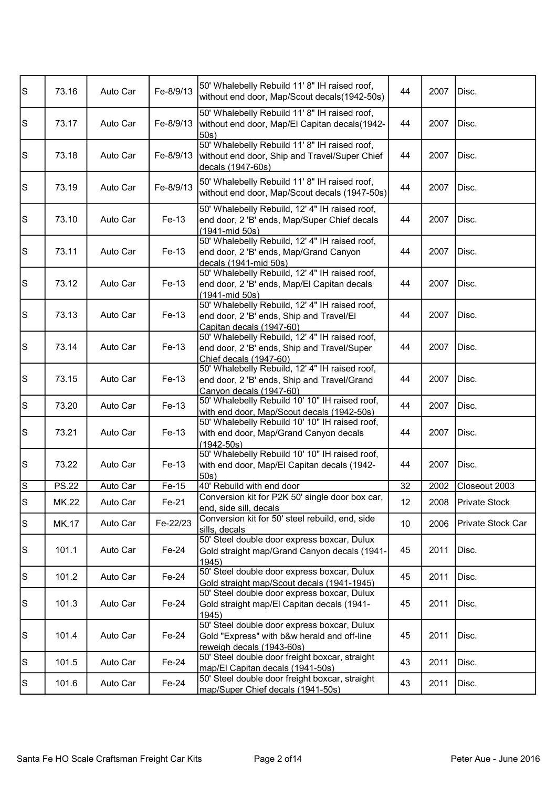| s         | 73.16        | Auto Car | Fe-8/9/13 | 50' Whalebelly Rebuild 11' 8" IH raised roof,<br>without end door, Map/Scout decals(1942-50s)                            | 44 | 2007 | Disc.             |
|-----------|--------------|----------|-----------|--------------------------------------------------------------------------------------------------------------------------|----|------|-------------------|
| s         | 73.17        | Auto Car | Fe-8/9/13 | 50' Whalebelly Rebuild 11' 8" IH raised roof,<br>without end door, Map/El Capitan decals(1942-<br>50s                    | 44 | 2007 | Disc.             |
| ls        | 73.18        | Auto Car | Fe-8/9/13 | 50' Whalebelly Rebuild 11' 8" IH raised roof,<br>without end door, Ship and Travel/Super Chief<br>decals (1947-60s)      | 44 | 2007 | Disc.             |
| S         | 73.19        | Auto Car | Fe-8/9/13 | 50' Whalebelly Rebuild 11' 8" IH raised roof,<br>without end door, Map/Scout decals (1947-50s)                           | 44 | 2007 | Disc.             |
| ls        | 73.10        | Auto Car | Fe-13     | 50' Whalebelly Rebuild, 12' 4" IH raised roof,<br>end door, 2 'B' ends, Map/Super Chief decals<br>(1941-mid 50s)         | 44 | 2007 | Disc.             |
| $\vert$ S | 73.11        | Auto Car | Fe-13     | 50' Whalebelly Rebuild, 12' 4" IH raised roof,<br>end door, 2 'B' ends, Map/Grand Canyon<br>decals (1941-mid 50s)        | 44 | 2007 | Disc.             |
| s         | 73.12        | Auto Car | Fe-13     | 50' Whalebelly Rebuild, 12' 4" IH raised roof,<br>end door, 2 'B' ends, Map/El Capitan decals<br>(1941-mid 50s)          | 44 | 2007 | Disc.             |
| s         | 73.13        | Auto Car | Fe-13     | 50' Whalebelly Rebuild, 12' 4" IH raised roof,<br>end door, 2 'B' ends, Ship and Travel/El<br>Capitan decals (1947-60)   | 44 | 2007 | Disc.             |
| s         | 73.14        | Auto Car | Fe-13     | 50' Whalebelly Rebuild, 12' 4" IH raised roof,<br>end door, 2 'B' ends, Ship and Travel/Super<br>Chief decals (1947-60)  | 44 | 2007 | Disc.             |
| $\vert$ S | 73.15        | Auto Car | Fe-13     | 50' Whalebelly Rebuild, 12' 4" IH raised roof,<br>end door, 2 'B' ends, Ship and Travel/Grand<br>Canyon decals (1947-60) | 44 | 2007 | Disc.             |
| $\vert$ S | 73.20        | Auto Car | Fe-13     | 50' Whalebelly Rebuild 10' 10" IH raised roof,<br>with end door, Map/Scout decals (1942-50s)                             | 44 | 2007 | Disc.             |
| $\vert$ S | 73.21        | Auto Car | Fe-13     | 50' Whalebelly Rebuild 10' 10" IH raised roof,<br>with end door, Map/Grand Canyon decals<br>$(1942 - 50s)$               | 44 | 2007 | Disc.             |
| S         | 73.22        | Auto Car | Fe-13     | 50' Whalebelly Rebuild 10' 10" IH raised roof,<br>with end door, Map/El Capitan decals (1942-<br>50s                     | 44 | 2007 | Disc.             |
| ΓS        | <b>PS.22</b> | Auto Car | Fe-15     | 40' Rebuild with end door                                                                                                | 32 | 2002 | Closeout 2003     |
| s         | <b>MK.22</b> | Auto Car | Fe-21     | Conversion kit for P2K 50' single door box car,<br>end, side sill, decals                                                | 12 | 2008 | Private Stock     |
| S         | MK.17        | Auto Car | Fe-22/23  | Conversion kit for 50' steel rebuild, end, side<br>sills, decals                                                         | 10 | 2006 | Private Stock Car |
| $\vert$ S | 101.1        | Auto Car | Fe-24     | 50' Steel double door express boxcar, Dulux<br>Gold straight map/Grand Canyon decals (1941-<br>1945)                     | 45 | 2011 | Disc.             |
| S         | 101.2        | Auto Car | Fe-24     | 50' Steel double door express boxcar, Dulux<br>Gold straight map/Scout decals (1941-1945)                                | 45 | 2011 | Disc.             |
| $\vert$ S | 101.3        | Auto Car | Fe-24     | 50' Steel double door express boxcar, Dulux<br>Gold straight map/El Capitan decals (1941-<br>1945                        | 45 | 2011 | Disc.             |
| S         | 101.4        | Auto Car | Fe-24     | 50' Steel double door express boxcar, Dulux<br>Gold "Express" with b&w herald and off-line<br>reweigh decals (1943-60s)  | 45 | 2011 | Disc.             |
| $\vert$ S | 101.5        | Auto Car | Fe-24     | 50' Steel double door freight boxcar, straight<br>map/El Capitan decals (1941-50s)                                       | 43 | 2011 | Disc.             |
| S         | 101.6        | Auto Car | Fe-24     | 50' Steel double door freight boxcar, straight<br>map/Super Chief decals (1941-50s)                                      | 43 | 2011 | Disc.             |
|           |              |          |           |                                                                                                                          |    |      |                   |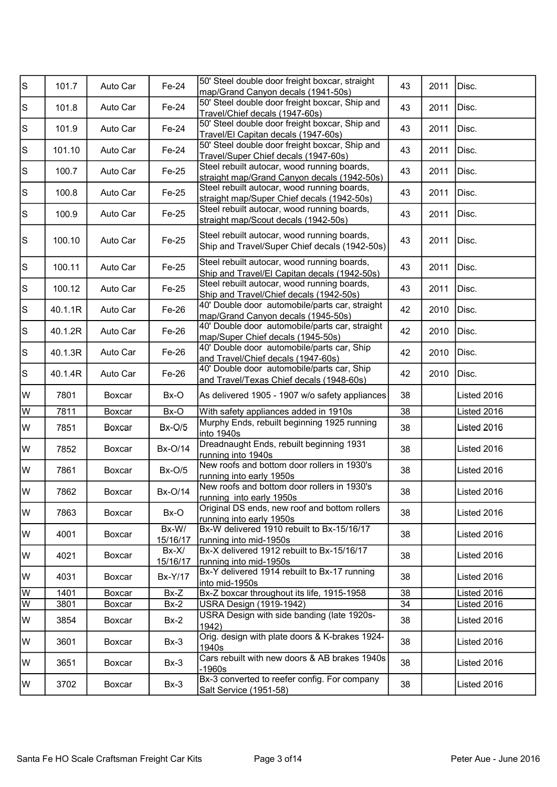| s           | 101.7   | Auto Car | Fe-24               | 50' Steel double door freight boxcar, straight<br>map/Grand Canyon decals (1941-50s)         | 43 | 2011 | Disc.       |
|-------------|---------|----------|---------------------|----------------------------------------------------------------------------------------------|----|------|-------------|
| $\mathbb S$ | 101.8   | Auto Car | Fe-24               | 50' Steel double door freight boxcar, Ship and<br>Travel/Chief decals (1947-60s)             | 43 | 2011 | Disc.       |
| $\mathbb S$ | 101.9   | Auto Car | Fe-24               | 50' Steel double door freight boxcar, Ship and<br>Travel/El Capitan decals (1947-60s)        | 43 | 2011 | Disc.       |
| $\mathbb S$ | 101.10  | Auto Car | Fe-24               | 50' Steel double door freight boxcar, Ship and<br>Travel/Super Chief decals (1947-60s)       | 43 | 2011 | Disc.       |
| $\mathbb S$ | 100.7   | Auto Car | Fe-25               | Steel rebuilt autocar, wood running boards,<br>straight map/Grand Canyon decals (1942-50s)   | 43 | 2011 | Disc.       |
| $\mathbb S$ | 100.8   | Auto Car | Fe-25               | Steel rebuilt autocar, wood running boards,<br>straight map/Super Chief decals (1942-50s)    | 43 | 2011 | Disc.       |
| ls          | 100.9   | Auto Car | Fe-25               | Steel rebuilt autocar, wood running boards,<br>straight map/Scout decals (1942-50s)          | 43 | 2011 | Disc.       |
| ls          | 100.10  | Auto Car | Fe-25               | Steel rebuilt autocar, wood running boards,<br>Ship and Travel/Super Chief decals (1942-50s) | 43 | 2011 | Disc.       |
| ls          | 100.11  | Auto Car | Fe-25               | Steel rebuilt autocar, wood running boards,<br>Ship and Travel/El Capitan decals (1942-50s)  | 43 | 2011 | Disc.       |
| $\mathbf S$ | 100.12  | Auto Car | Fe-25               | Steel rebuilt autocar, wood running boards,<br>Ship and Travel/Chief decals (1942-50s)       | 43 | 2011 | Disc.       |
| $\mathbb S$ | 40.1.1R | Auto Car | Fe-26               | 40' Double door automobile/parts car, straight<br>map/Grand Canyon decals (1945-50s)         | 42 | 2010 | Disc.       |
| $\mathbb S$ | 40.1.2R | Auto Car | Fe-26               | 40' Double door automobile/parts car, straight<br>map/Super Chief decals (1945-50s)          | 42 | 2010 | Disc.       |
| $\mathbf S$ | 40.1.3R | Auto Car | Fe-26               | 40' Double door automobile/parts car, Ship<br>and Travel/Chief decals (1947-60s)             | 42 | 2010 | Disc.       |
| ls          | 40.1.4R | Auto Car | Fe-26               | 40' Double door automobile/parts car, Ship<br>and Travel/Texas Chief decals (1948-60s)       | 42 | 2010 | Disc.       |
| W           | 7801    | Boxcar   | Bx-O                | As delivered 1905 - 1907 w/o safety appliances                                               | 38 |      | Listed 2016 |
| W           | 7811    | Boxcar   | Bx-O                | With safety appliances added in 1910s                                                        | 38 |      | Listed 2016 |
| W           | 7851    | Boxcar   | <b>Bx-O/5</b>       | Murphy Ends, rebuilt beginning 1925 running<br>into 1940s                                    | 38 |      | Listed 2016 |
| W           | 7852    | Boxcar   | Bx-O/14             | Dreadnaught Ends, rebuilt beginning 1931<br>running into 1940s                               | 38 |      | Listed 2016 |
| lw          | 7861    | Boxcar   | $Bx-O/5$            | New roofs and bottom door rollers in 1930's<br>running into early 1950s                      | 38 |      | Listed 2016 |
| W           | 7862    | Boxcar   | <b>Bx-O/14</b>      | New roofs and bottom door rollers in 1930's<br>running into early 1950s                      | 38 |      | Listed 2016 |
| lw          | 7863    | Boxcar   | Bx-O                | Original DS ends, new roof and bottom rollers<br>running into early 1950s                    | 38 |      | Listed 2016 |
| lW          | 4001    | Boxcar   | Bx-W/<br>15/16/17   | Bx-W delivered 1910 rebuilt to Bx-15/16/17<br>running into mid-1950s                         | 38 |      | Listed 2016 |
| W           | 4021    | Boxcar   | $Bx-X/$<br>15/16/17 | Bx-X delivered 1912 rebuilt to Bx-15/16/17<br>running into mid-1950s                         | 38 |      | Listed 2016 |
| lw          | 4031    | Boxcar   | <b>Bx-Y/17</b>      | Bx-Y delivered 1914 rebuilt to Bx-17 running<br>into mid-1950s                               | 38 |      | Listed 2016 |
| lw          | 1401    | Boxcar   | Bx-Z                | Bx-Z boxcar throughout its life, 1915-1958                                                   | 38 |      | Listed 2016 |
| lw          | 3801    | Boxcar   | $Bx-2$              | USRA Design (1919-1942)                                                                      | 34 |      | Listed 2016 |
| W           | 3854    | Boxcar   | $Bx-2$              | USRA Design with side banding (late 1920s-<br>1942)                                          | 38 |      | Listed 2016 |
| lw          | 3601    | Boxcar   | $Bx-3$              | Orig. design with plate doors & K-brakes 1924-<br>1940s                                      | 38 |      | Listed 2016 |
| lW          | 3651    | Boxcar   | $Bx-3$              | Cars rebuilt with new doors & AB brakes 1940s<br>$-1960s$                                    | 38 |      | Listed 2016 |
| W           | 3702    | Boxcar   | $Bx-3$              | Bx-3 converted to reefer config. For company<br>Salt Service (1951-58)                       | 38 |      | Listed 2016 |
|             |         |          |                     |                                                                                              |    |      |             |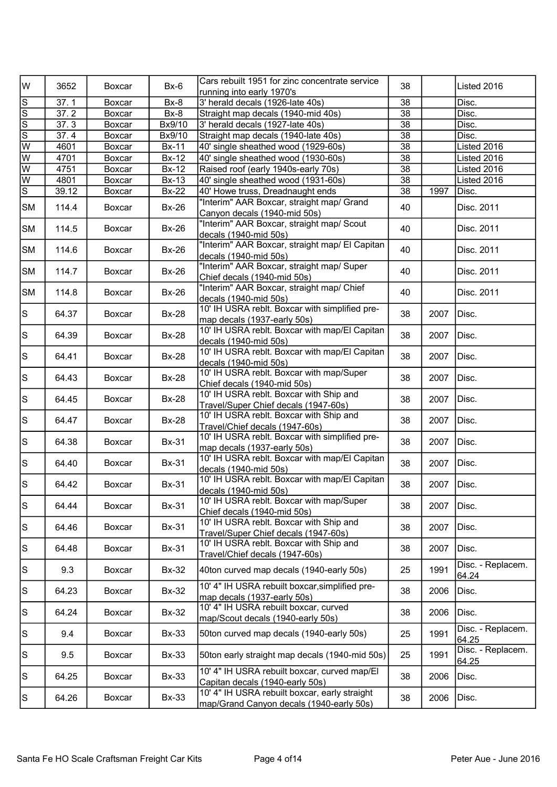| lw                      | 3652                | Boxcar | $Bx-6$       | Cars rebuilt 1951 for zinc concentrate service<br>running into early 1970's               | 38              |      | Listed 2016                |
|-------------------------|---------------------|--------|--------------|-------------------------------------------------------------------------------------------|-----------------|------|----------------------------|
| ß                       | 37.1                | Boxcar | Bx-8         | 3' herald decals (1926-late 40s)                                                          | 38              |      | Disc.                      |
| $\overline{s}$          | 37.2                | Boxcar | Bx-8         | Straight map decals (1940-mid 40s)                                                        | 38              |      | Disc.                      |
| $\overline{s}$          | $\overline{37}$ . 3 | Boxcar | Bx9/10       | 3' herald decals (1927-late 40s)                                                          | $\overline{38}$ |      | Disc.                      |
| डि                      | 37.4                | Boxcar | Bx9/10       | Straight map decals (1940-late 40s)                                                       | $\overline{38}$ |      | Disc.                      |
| w                       | 4601                | Boxcar | <b>Bx-11</b> | 40' single sheathed wood (1929-60s)                                                       | 38              |      | Listed 2016                |
| $\overline{\mathsf{w}}$ | 4701                | Boxcar | <b>Bx-12</b> | 40' single sheathed wood (1930-60s)                                                       | 38              |      | Listed 2016                |
| $\overline{\mathsf{w}}$ | 4751                | Boxcar | <b>Bx-12</b> | Raised roof (early 1940s-early 70s)                                                       | $\overline{38}$ |      | Listed 2016                |
| $\overline{\mathsf{w}}$ | 4801                | Boxcar | <b>Bx-13</b> | 40' single sheathed wood (1931-60s)                                                       | $\overline{38}$ |      | Listed 2016                |
| s                       | 39.12               | Boxcar | <b>Bx-22</b> | 40' Howe truss, Dreadnaught ends                                                          | 38              | 1997 | Disc.                      |
| <b>SM</b>               | 114.4               | Boxcar | <b>Bx-26</b> | "Interim" AAR Boxcar, straight map/ Grand<br>Canyon decals (1940-mid 50s)                 | 40              |      | Disc. 2011                 |
| <b>SM</b>               | 114.5               | Boxcar | <b>Bx-26</b> | "Interim" AAR Boxcar, straight map/ Scout<br>decals (1940-mid 50s)                        | 40              |      | Disc. 2011                 |
| <b>SM</b>               | 114.6               | Boxcar | <b>Bx-26</b> | "Interim" AAR Boxcar, straight map/ El Capitan<br>decals (1940-mid 50s)                   | 40              |      | Disc. 2011                 |
| <b>SM</b>               | 114.7               | Boxcar | <b>Bx-26</b> | "Interim" AAR Boxcar, straight map/ Super<br>Chief decals (1940-mid 50s)                  | 40              |      | Disc. 2011                 |
| <b>SM</b>               | 114.8               | Boxcar | <b>Bx-26</b> | "Interim" AAR Boxcar, straight map/ Chief<br>decals (1940-mid 50s)                        | 40              |      | Disc. 2011                 |
| ls                      | 64.37               | Boxcar | <b>Bx-28</b> | 10' IH USRA reblt. Boxcar with simplified pre-<br>map decals (1937-early 50s)             | 38              | 2007 | Disc.                      |
| ls.                     | 64.39               | Boxcar | <b>Bx-28</b> | 10' IH USRA reblt. Boxcar with map/El Capitan<br>decals (1940-mid 50s)                    | 38              | 2007 | Disc.                      |
| ls.                     | 64.41               | Boxcar | <b>Bx-28</b> | 10' IH USRA reblt. Boxcar with map/El Capitan<br>decals (1940-mid 50s)                    | 38              | 2007 | Disc.                      |
| ls.                     | 64.43               | Boxcar | <b>Bx-28</b> | 10' IH USRA reblt. Boxcar with map/Super<br>Chief decals (1940-mid 50s)                   | 38              | 2007 | Disc.                      |
| ls                      | 64.45               | Boxcar | <b>Bx-28</b> | 10' IH USRA reblt. Boxcar with Ship and<br>Travel/Super Chief decals (1947-60s)           | 38              | 2007 | Disc.                      |
| ls.                     | 64.47               | Boxcar | <b>Bx-28</b> | 10' IH USRA reblt. Boxcar with Ship and<br>Travel/Chief decals (1947-60s)                 | 38              | 2007 | Disc.                      |
| ls                      | 64.38               | Boxcar | <b>Bx-31</b> | 10' IH USRA reblt. Boxcar with simplified pre-<br>map decals (1937-early 50s)             | 38              | 2007 | Disc.                      |
| ls                      | 64.40               | Boxcar | <b>Bx-31</b> | 10' IH USRA reblt. Boxcar with map/El Capitan<br>decals (1940-mid 50s)                    | 38              | 2007 | Disc.                      |
| ls                      | 64.42               | Boxcar | <b>Bx-31</b> | 10' IH USRA reblt. Boxcar with map/El Capitan<br>decals (1940-mid 50s)                    | 38              | 2007 | Disc.                      |
| ls                      | 64.44               | Boxcar | <b>Bx-31</b> | 10' IH USRA reblt. Boxcar with map/Super<br>Chief decals (1940-mid 50s)                   | 38              | 2007 | Disc.                      |
| $\vert$ S               | 64.46               | Boxcar | <b>Bx-31</b> | 10' IH USRA reblt. Boxcar with Ship and<br>Travel/Super Chief decals (1947-60s)           | 38              | 2007 | Disc.                      |
| ls.                     | 64.48               | Boxcar | <b>Bx-31</b> | 10' IH USRA reblt. Boxcar with Ship and<br>Travel/Chief decals (1947-60s)                 | 38              | 2007 | Disc.                      |
| ls                      | 9.3                 | Boxcar | <b>Bx-32</b> | 40ton curved map decals (1940-early 50s)                                                  | 25              | 1991 | Disc. - Replacem.<br>64.24 |
| ls.                     | 64.23               | Boxcar | <b>Bx-32</b> | 10' 4" IH USRA rebuilt boxcar, simplified pre-<br>map decals (1937-early 50s)             | 38              | 2006 | Disc.                      |
| ls                      | 64.24               | Boxcar | <b>Bx-32</b> | 10' 4" IH USRA rebuilt boxcar, curved<br>map/Scout decals (1940-early 50s)                | 38              | 2006 | Disc.                      |
| ls                      | 9.4                 | Boxcar | <b>Bx-33</b> | 50ton curved map decals (1940-early 50s)                                                  | 25              | 1991 | Disc. - Replacem.<br>64.25 |
| $\vert$ S               | 9.5                 | Boxcar | <b>Bx-33</b> | 50ton early straight map decals (1940-mid 50s)                                            | 25              | 1991 | Disc. - Replacem.<br>64.25 |
| ls                      | 64.25               | Boxcar | <b>Bx-33</b> | 10' 4" IH USRA rebuilt boxcar, curved map/EI<br>Capitan decals (1940-early 50s)           | 38              | 2006 | Disc.                      |
| $\vert$ S               | 64.26               | Boxcar | <b>Bx-33</b> | 10' 4" IH USRA rebuilt boxcar, early straight<br>map/Grand Canyon decals (1940-early 50s) | 38              | 2006 | Disc.                      |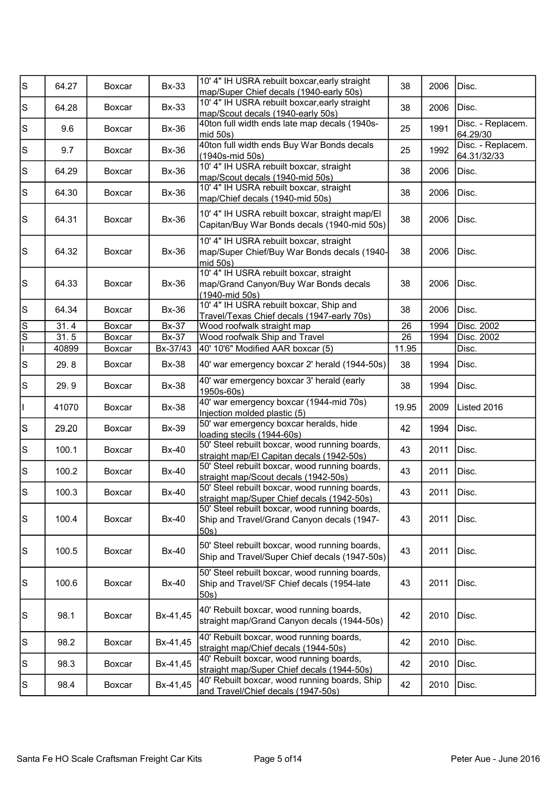| s         | 64.27 | Boxcar | <b>Bx-33</b> | 10' 4" IH USRA rebuilt boxcar, early straight<br>map/Super Chief decals (1940-early 50s)             | 38    | 2006 | Disc.                            |
|-----------|-------|--------|--------------|------------------------------------------------------------------------------------------------------|-------|------|----------------------------------|
| S         | 64.28 | Boxcar | <b>Bx-33</b> | 10' 4" IH USRA rebuilt boxcar, early straight<br>map/Scout decals (1940-early 50s)                   | 38    | 2006 | Disc.                            |
| $\vert$ S | 9.6   | Boxcar | <b>Bx-36</b> | 40ton full width ends late map decals (1940s-<br>mid 50s)                                            | 25    | 1991 | Disc. - Replacem.<br>64.29/30    |
| S         | 9.7   | Boxcar | <b>Bx-36</b> | 40ton full width ends Buy War Bonds decals<br>(1940s-mid 50s)                                        | 25    | 1992 | Disc. - Replacem.<br>64.31/32/33 |
| $\vert$ S | 64.29 | Boxcar | <b>Bx-36</b> | 10' 4" IH USRA rebuilt boxcar, straight<br>map/Scout decals (1940-mid 50s)                           | 38    | 2006 | Disc.                            |
| $\vert$ S | 64.30 | Boxcar | <b>Bx-36</b> | 10' 4" IH USRA rebuilt boxcar, straight<br>map/Chief decals (1940-mid 50s)                           | 38    | 2006 | Disc.                            |
| $\vert$ S | 64.31 | Boxcar | <b>Bx-36</b> | 10' 4" IH USRA rebuilt boxcar, straight map/EI<br>Capitan/Buy War Bonds decals (1940-mid 50s)        | 38    | 2006 | Disc.                            |
| $\vert$ S | 64.32 | Boxcar | <b>Bx-36</b> | 10' 4" IH USRA rebuilt boxcar, straight<br>map/Super Chief/Buy War Bonds decals (1940-<br>mid 50s)   | 38    | 2006 | Disc.                            |
| $\vert$ S | 64.33 | Boxcar | <b>Bx-36</b> | 10' 4" IH USRA rebuilt boxcar, straight<br>map/Grand Canyon/Buy War Bonds decals<br>(1940-mid 50s)   | 38    | 2006 | Disc.                            |
| $\vert$ S | 64.34 | Boxcar | <b>Bx-36</b> | 10' 4" IH USRA rebuilt boxcar, Ship and<br>Travel/Texas Chief decals (1947-early 70s)                | 38    | 2006 | Disc.                            |
| Ω         | 31.4  | Boxcar | <b>Bx-37</b> | Wood roofwalk straight map                                                                           | 26    | 1994 | Disc. 2002                       |
| l co      | 31.5  | Boxcar | <b>Bx-37</b> | Wood roofwalk Ship and Travel                                                                        | 26    | 1994 | Disc. 2002                       |
|           | 40899 | Boxcar | Bx-37/43     | 40' 10'6" Modified AAR boxcar (5)                                                                    | 11.95 |      | Disc.                            |
| $\vert$ S | 29.8  | Boxcar | <b>Bx-38</b> | 40' war emergency boxcar 2' herald (1944-50s)                                                        | 38    | 1994 | Disc.                            |
| $\vert$ S | 29.9  | Boxcar | <b>Bx-38</b> | 40' war emergency boxcar 3' herald (early<br>1950s-60s)                                              | 38    | 1994 | Disc.                            |
| H         | 41070 | Boxcar | <b>Bx-38</b> | 40' war emergency boxcar (1944-mid 70s)<br>Injection molded plastic (5)                              | 19.95 | 2009 | Listed 2016                      |
| s         | 29.20 | Boxcar | <b>Bx-39</b> | 50' war emergency boxcar heralds, hide<br>loading stecils (1944-60s)                                 | 42    | 1994 | Disc.                            |
| $\vert$ S | 100.1 | Boxcar | <b>Bx-40</b> | 50' Steel rebuilt boxcar, wood running boards,<br>straight map/El Capitan decals (1942-50s)          | 43    | 2011 | Disc.                            |
| ls        | 100.2 | Boxcar | <b>Bx-40</b> | 50' Steel rebuilt boxcar, wood running boards,<br>straight map/Scout decals (1942-50s)               | 43    | 2011 | Disc.                            |
| ls        | 100.3 | Boxcar | <b>Bx-40</b> | 50' Steel rebuilt boxcar, wood running boards,<br>straight map/Super Chief decals (1942-50s)         | 43    | 2011 | Disc.                            |
| S         | 100.4 | Boxcar | Bx-40        | 50' Steel rebuilt boxcar, wood running boards,<br>Ship and Travel/Grand Canyon decals (1947-<br>50s) | 43    | 2011 | Disc.                            |
| $\vert$ S | 100.5 | Boxcar | <b>Bx-40</b> | 50' Steel rebuilt boxcar, wood running boards,<br>Ship and Travel/Super Chief decals (1947-50s)      | 43    | 2011 | Disc.                            |
| $\vert$ S | 100.6 | Boxcar | <b>Bx-40</b> | 50' Steel rebuilt boxcar, wood running boards,<br>Ship and Travel/SF Chief decals (1954-late<br>50s) | 43    | 2011 | Disc.                            |
| ls        | 98.1  | Boxcar | Bx-41,45     | 40' Rebuilt boxcar, wood running boards,<br>straight map/Grand Canyon decals (1944-50s)              | 42    | 2010 | Disc.                            |
| $\vert$ S | 98.2  | Boxcar | Bx-41,45     | 40' Rebuilt boxcar, wood running boards,<br>straight map/Chief decals (1944-50s)                     | 42    | 2010 | Disc.                            |
| S         | 98.3  | Boxcar | Bx-41,45     | 40' Rebuilt boxcar, wood running boards,<br>straight map/Super Chief decals (1944-50s)               | 42    | 2010 | Disc.                            |
| S         | 98.4  | Boxcar | Bx-41,45     | 40' Rebuilt boxcar, wood running boards, Ship<br>and Travel/Chief decals (1947-50s)                  | 42    | 2010 | Disc.                            |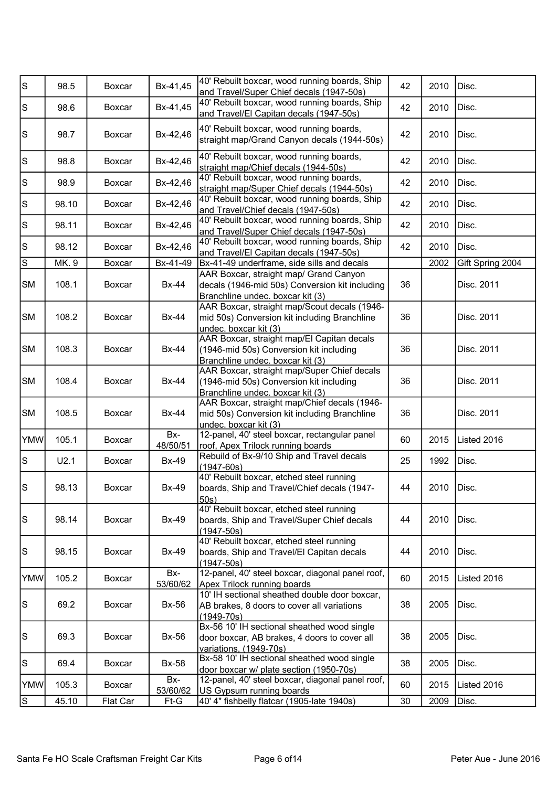| s                                                                                         | 98.5  | Boxcar        | Bx-41,45        | 40' Rebuilt boxcar, wood running boards, Ship<br>and Travel/Super Chief decals (1947-50s)                                    | 42 | 2010 | Disc.            |
|-------------------------------------------------------------------------------------------|-------|---------------|-----------------|------------------------------------------------------------------------------------------------------------------------------|----|------|------------------|
| $\mathsf S$                                                                               | 98.6  | Boxcar        | Bx-41,45        | 40' Rebuilt boxcar, wood running boards, Ship<br>and Travel/El Capitan decals (1947-50s)                                     | 42 | 2010 | Disc.            |
| $\mathsf{S}% _{\mathcal{A}}\left( t\right) \equiv\mathsf{S}_{\mathcal{A}}\left( t\right)$ | 98.7  | Boxcar        | Bx-42,46        | 40' Rebuilt boxcar, wood running boards,<br>straight map/Grand Canyon decals (1944-50s)                                      | 42 | 2010 | Disc.            |
| $\mathbb S$                                                                               | 98.8  | <b>Boxcar</b> | Bx-42,46        | 40' Rebuilt boxcar, wood running boards,<br>straight map/Chief decals (1944-50s)                                             | 42 | 2010 | Disc.            |
| $\mathbb S$                                                                               | 98.9  | Boxcar        | Bx-42,46        | 40' Rebuilt boxcar, wood running boards,<br>straight map/Super Chief decals (1944-50s)                                       | 42 | 2010 | Disc.            |
| $\mathbb S$                                                                               | 98.10 | Boxcar        | Bx-42,46        | 40' Rebuilt boxcar, wood running boards, Ship<br>and Travel/Chief decals (1947-50s)                                          | 42 | 2010 | Disc.            |
| $\mathbb S$                                                                               | 98.11 | Boxcar        | Bx-42,46        | 40' Rebuilt boxcar, wood running boards, Ship<br>and Travel/Super Chief decals (1947-50s)                                    | 42 | 2010 | Disc.            |
| $\mathbf S$                                                                               | 98.12 | Boxcar        | Bx-42,46        | 40' Rebuilt boxcar, wood running boards, Ship<br>and Travel/El Capitan decals (1947-50s)                                     | 42 | 2010 | Disc.            |
| $\overline{s}$                                                                            | MK. 9 | Boxcar        | Bx-41-49        | Bx-41-49 underframe, side sills and decals                                                                                   |    | 2002 | Gift Spring 2004 |
| <b>SM</b>                                                                                 | 108.1 | Boxcar        | <b>Bx-44</b>    | AAR Boxcar, straight map/ Grand Canyon<br>decals (1946-mid 50s) Conversion kit including<br>Branchline undec. boxcar kit (3) | 36 |      | Disc. 2011       |
| <b>SM</b>                                                                                 | 108.2 | <b>Boxcar</b> | <b>Bx-44</b>    | AAR Boxcar, straight map/Scout decals (1946-<br>mid 50s) Conversion kit including Branchline<br>undec. boxcar kit (3)        | 36 |      | Disc. 2011       |
| <b>SM</b>                                                                                 | 108.3 | Boxcar        | Bx-44           | AAR Boxcar, straight map/El Capitan decals<br>(1946-mid 50s) Conversion kit including<br>Branchline undec. boxcar kit (3)    | 36 |      | Disc. 2011       |
| <b>SM</b>                                                                                 | 108.4 | Boxcar        | <b>Bx-44</b>    | AAR Boxcar, straight map/Super Chief decals<br>(1946-mid 50s) Conversion kit including<br>Branchline undec. boxcar kit (3)   | 36 |      | Disc. 2011       |
| <b>SM</b>                                                                                 | 108.5 | Boxcar        | <b>Bx-44</b>    | AAR Boxcar, straight map/Chief decals (1946-<br>mid 50s) Conversion kit including Branchline<br>undec. boxcar kit (3)        | 36 |      | Disc. 2011       |
| <b>YMW</b>                                                                                | 105.1 | Boxcar        | Bx-<br>48/50/51 | 12-panel, 40' steel boxcar, rectangular panel<br>roof, Apex Trilock running boards                                           | 60 | 2015 | Listed 2016      |
| $\mathbb S$                                                                               | U2.1  | Boxcar        | <b>Bx-49</b>    | Rebuild of Bx-9/10 Ship and Travel decals<br>$(1947 - 60s)$                                                                  | 25 | 1992 | Disc.            |
| s                                                                                         | 98.13 | Boxcar        | Bx-49           | 40' Rebuilt boxcar, etched steel running<br>boards, Ship and Travel/Chief decals (1947-<br>50s)                              | 44 | 2010 | Disc.            |
| $\mathbb S$                                                                               | 98.14 | Boxcar        | Bx-49           | 40' Rebuilt boxcar, etched steel running<br>boards, Ship and Travel/Super Chief decals<br>$(1947 - 50s)$                     | 44 | 2010 | Disc.            |
| $\mathbb S$                                                                               | 98.15 | Boxcar        | Bx-49           | 40' Rebuilt boxcar, etched steel running<br>boards, Ship and Travel/El Capitan decals<br>$(1947 - 50s)$                      | 44 | 2010 | Disc.            |
| <b>YMW</b>                                                                                | 105.2 | Boxcar        | Bx-<br>53/60/62 | 12-panel, 40' steel boxcar, diagonal panel roof,<br>Apex Trilock running boards                                              | 60 | 2015 | Listed 2016      |
| $\mathbb S$                                                                               | 69.2  | Boxcar        | Bx-56           | 10' IH sectional sheathed double door boxcar,<br>AB brakes, 8 doors to cover all variations<br>$(1949 - 70s)$                | 38 | 2005 | Disc.            |
| $\mathbb S$                                                                               | 69.3  | Boxcar        | Bx-56           | Bx-56 10' IH sectional sheathed wood single<br>door boxcar, AB brakes, 4 doors to cover all<br>variations, (1949-70s)        | 38 | 2005 | Disc.            |
| $\mathbb S$                                                                               | 69.4  | Boxcar        | <b>Bx-58</b>    | Bx-58 10' IH sectional sheathed wood single<br>door boxcar w/ plate section (1950-70s)                                       | 38 | 2005 | Disc.            |
| <b>YMW</b>                                                                                | 105.3 | Boxcar        | Bx-<br>53/60/62 | 12-panel, 40' steel boxcar, diagonal panel roof,<br>US Gypsum running boards                                                 | 60 | 2015 | Listed 2016      |
| s                                                                                         | 45.10 | Flat Car      | Ft-G            | 40' 4" fishbelly flatcar (1905-late 1940s)                                                                                   | 30 | 2009 | Disc.            |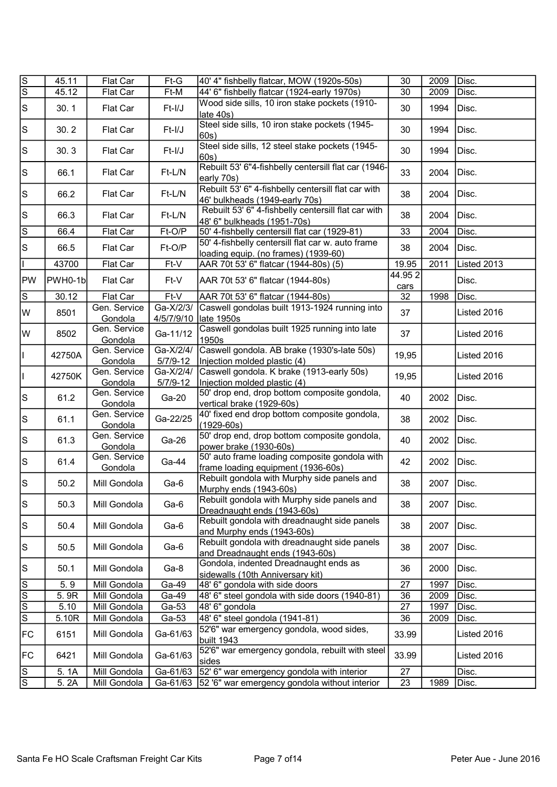| ।ऽ               | 45.11   | Flat Car                | Ft-G                      | 40' 4" fishbelly flatcar, MOW (1920s-50s)                                                 | 30             | 2009 | Disc.       |
|------------------|---------|-------------------------|---------------------------|-------------------------------------------------------------------------------------------|----------------|------|-------------|
| Ιs               | 45.12   | Flat Car                | Ft-M                      | 44' 6" fishbelly flatcar (1924-early 1970s)                                               | 30             | 2009 | Disc.       |
| $\vert$ S        | 30.1    | Flat Car                | Ft-I/J                    | Wood side sills, 10 iron stake pockets (1910-<br>late 40s)                                | 30             | 1994 | Disc.       |
| S                | 30.2    | Flat Car                | Ft-I/J                    | Steel side sills, 10 iron stake pockets (1945-<br>60s)                                    | 30             | 1994 | Disc.       |
| $\vert$ S        | 30.3    | Flat Car                | Ft-I/J                    | Steel side sills, 12 steel stake pockets (1945-<br>60s)                                   | 30             | 1994 | Disc.       |
| $\vert$ S        | 66.1    | Flat Car                | Ft-L/N                    | Rebuilt 53' 6"4-fishbelly centersill flat car (1946-<br>early 70s)                        | 33             | 2004 | Disc.       |
| $\vert$ S        | 66.2    | Flat Car                | Ft-L/N                    | Rebuilt 53' 6" 4-fishbelly centersill flat car with<br>46' bulkheads (1949-early 70s)     | 38             | 2004 | Disc.       |
| $\vert$ S        | 66.3    | Flat Car                | Ft-L/N                    | Rebuilt 53' 6" 4-fishbelly centersill flat car with<br>48' 6" bulkheads (1951-70s)        | 38             | 2004 | Disc.       |
| Ω                | 66.4    | Flat Car                | Ft-O/P                    | 50' 4-fishbelly centersill flat car (1929-81)                                             | 33             | 2004 | Disc.       |
| S                | 66.5    | Flat Car                | Ft-O/P                    | 50' 4-fishbelly centersill flat car w. auto frame<br>loading equip. (no frames) (1939-60) | 38             | 2004 | Disc.       |
|                  | 43700   | Flat Car                | Ft-V                      | AAR 70t 53' 6" flatcar (1944-80s) (5)                                                     | 19.95          | 2011 | Listed 2013 |
| <b>PW</b>        | PWH0-1b | Flat Car                | Ft-V                      | AAR 70t 53' 6" flatcar (1944-80s)                                                         | 44.952<br>cars |      | Disc.       |
| $\overline{s}$   | 30.12   | Flat Car                | Ft-V                      | AAR 70t 53' 6" flatcar (1944-80s)                                                         | 32             | 1998 | Disc.       |
| lw               | 8501    | Gen. Service<br>Gondola | Ga-X/2/3/<br>4/5/7/9/10   | Caswell gondolas built 1913-1924 running into<br>late 1950s                               | 37             |      | Listed 2016 |
| lw               | 8502    | Gen. Service<br>Gondola | Ga-11/12                  | Caswell gondolas built 1925 running into late<br>1950s                                    | 37             |      | Listed 2016 |
|                  | 42750A  | Gen. Service<br>Gondola | Ga-X/2/4/<br>$5/7/9 - 12$ | Caswell gondola. AB brake (1930's-late 50s)<br>Injection molded plastic (4)               | 19,95          |      | Listed 2016 |
| Ш                | 42750K  | Gen. Service<br>Gondola | Ga-X/2/4/<br>$5/7/9-12$   | Caswell gondola. K brake (1913-early 50s)<br>Injection molded plastic (4)                 | 19,95          |      | Listed 2016 |
| $\vert$ S        | 61.2    | Gen. Service<br>Gondola | Ga-20                     | 50' drop end, drop bottom composite gondola,<br>vertical brake (1929-60s)                 | 40             | 2002 | Disc.       |
| S                | 61.1    | Gen. Service<br>Gondola | Ga-22/25                  | 40' fixed end drop bottom composite gondola,<br>$(1929 - 60s)$                            | 38             | 2002 | Disc.       |
| $\vert$ S        | 61.3    | Gen. Service<br>Gondola | Ga-26                     | 50' drop end, drop bottom composite gondola,<br>power brake (1930-60s)                    | 40             | 2002 | Disc.       |
| S                | 61.4    | Gen. Service<br>Gondola | Ga-44                     | 50' auto frame loading composite gondola with<br>frame loading equipment (1936-60s)       | 42             | 2002 | Disc.       |
| S                | 50.2    | Mill Gondola            | Ga-6                      | Rebuilt gondola with Murphy side panels and<br>Murphy ends (1943-60s)                     | 38             | 2007 | Disc.       |
| $\vert$ S        | 50.3    | Mill Gondola            | Ga-6                      | Rebuilt gondola with Murphy side panels and<br>Dreadnaught ends (1943-60s)                | 38             | 2007 | Disc.       |
| S                | 50.4    | Mill Gondola            | Ga-6                      | Rebuilt gondola with dreadnaught side panels<br>and Murphy ends (1943-60s)                | 38             | 2007 | Disc.       |
| $\vert$ S        | 50.5    | Mill Gondola            | Ga-6                      | Rebuilt gondola with dreadnaught side panels<br>and Dreadnaught ends (1943-60s)           | 38             | 2007 | Disc.       |
| $\vert$ S        | 50.1    | Mill Gondola            | Ga-8                      | Gondola, indented Dreadnaught ends as<br>sidewalls (10th Anniversary kit)                 | 36             | 2000 | Disc.       |
| $\mathcal{S}$    | 5.9     | Mill Gondola            | Ga-49                     | 48' 6" gondola with side doors                                                            | 27             | 1997 | Disc.       |
| Ιø               | 5.9R    | Mill Gondola            | Ga-49                     | 48' 6" steel gondola with side doors (1940-81)                                            | 36             | 2009 | Disc.       |
| $\overline{s}$   | 5.10    | Mill Gondola            | Ga-53                     | 48' 6" gondola                                                                            | 27             | 1997 | Disc.       |
| $ \overline{s} $ | 5.10R   | Mill Gondola            | Ga-53                     | 48' 6" steel gondola (1941-81)                                                            | 36             | 2009 | Disc.       |
| <b>FC</b>        | 6151    | Mill Gondola            | Ga-61/63                  | 52'6" war emergency gondola, wood sides,<br>built 1943                                    | 33.99          |      | Listed 2016 |
| FC               | 6421    | Mill Gondola            | Ga-61/63                  | 52'6" war emergency gondola, rebuilt with steel<br>sides                                  | 33.99          |      | Listed 2016 |
| S                | 5.1A    | Mill Gondola            | Ga-61/63                  | 52' 6" war emergency gondola with interior                                                | 27             |      | Disc.       |
| $\overline{s}$   | 5.2A    | Mill Gondola            | Ga-61/63                  | 52 '6" war emergency gondola without interior                                             | 23             | 1989 | Disc.       |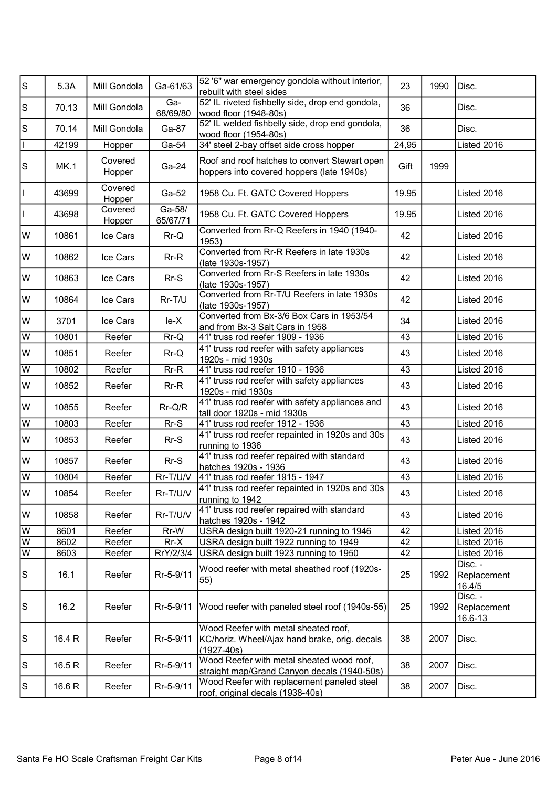| ls                                         | 5.3A        | Mill Gondola      | Ga-61/63           | 52 '6" war emergency gondola without interior,<br>rebuilt with steel sides                              | 23    | 1990 | Disc.                             |
|--------------------------------------------|-------------|-------------------|--------------------|---------------------------------------------------------------------------------------------------------|-------|------|-----------------------------------|
| $\mathbb S$                                | 70.13       | Mill Gondola      | Ga-<br>68/69/80    | 52' IL riveted fishbelly side, drop end gondola,<br>wood floor (1948-80s)                               | 36    |      | Disc.                             |
| $\mathbf S$                                | 70.14       | Mill Gondola      | Ga-87              | 52' IL welded fishbelly side, drop end gondola,<br>wood floor (1954-80s)                                | 36    |      | Disc.                             |
|                                            | 42199       | Hopper            | Ga-54              | 34' steel 2-bay offset side cross hopper                                                                | 24,95 |      | Listed 2016                       |
| $\mathsf{S}% _{\mathcal{A}}^{\alpha\beta}$ | <b>MK.1</b> | Covered<br>Hopper | Ga-24              | Roof and roof hatches to convert Stewart open<br>hoppers into covered hoppers (late 1940s)              | Gift  | 1999 |                                   |
|                                            | 43699       | Covered<br>Hopper | Ga-52              | 1958 Cu. Ft. GATC Covered Hoppers                                                                       | 19.95 |      | Listed 2016                       |
|                                            | 43698       | Covered<br>Hopper | Ga-58/<br>65/67/71 | 1958 Cu. Ft. GATC Covered Hoppers                                                                       | 19.95 |      | Listed 2016                       |
| lw                                         | 10861       | Ice Cars          | $Rr-Q$             | Converted from Rr-Q Reefers in 1940 (1940-<br>1953)                                                     | 42    |      | Listed 2016                       |
| lw                                         | 10862       | Ice Cars          | $Rr-R$             | Converted from Rr-R Reefers in late 1930s<br>(late 1930s-1957)                                          | 42    |      | Listed 2016                       |
| W                                          | 10863       | Ice Cars          | $Rr-S$             | Converted from Rr-S Reefers in late 1930s<br>(late 1930s-1957)                                          | 42    |      | Listed 2016                       |
| lw                                         | 10864       | Ice Cars          | Rr-T/U             | Converted from Rr-T/U Reefers in late 1930s<br>(late 1930s-1957)                                        | 42    |      | Listed 2016                       |
| W                                          | 3701        | Ice Cars          | $le-X$             | Converted from Bx-3/6 Box Cars in 1953/54<br>and from Bx-3 Salt Cars in 1958                            | 34    |      | Listed 2016                       |
| W                                          | 10801       | Reefer            | Rr-Q               | 41' truss rod reefer 1909 - 1936                                                                        | 43    |      | Listed 2016                       |
| lw                                         | 10851       | Reefer            | Rr-Q               | 41' truss rod reefer with safety appliances<br>1920s - mid 1930s                                        | 43    |      | Listed 2016                       |
| W                                          | 10802       | Reefer            | $Rr-R$             | 41' truss rod reefer 1910 - 1936                                                                        | 43    |      | Listed 2016                       |
| lw                                         | 10852       | Reefer            | $Rr-R$             | 41' truss rod reefer with safety appliances<br>1920s - mid 1930s                                        | 43    |      | Listed 2016                       |
| W                                          | 10855       | Reefer            | $Rr-Q/R$           | 41' truss rod reefer with safety appliances and<br>tall door 1920s - mid 1930s                          | 43    |      | Listed 2016                       |
| $\overline{W}$                             | 10803       | Reefer            | $Rr-S$             | 41' truss rod reefer 1912 - 1936                                                                        | 43    |      | Listed 2016                       |
| lw                                         | 10853       | Reefer            | $Rr-S$             | 41' truss rod reefer repainted in 1920s and 30s<br>running to 1936                                      | 43    |      | Listed 2016                       |
| lw                                         | 10857       | Reefer            | $Rr-S$             | 41' truss rod reefer repaired with standard<br>hatches 1920s - 1936                                     | 43    |      | Listed 2016                       |
| W                                          | 10804       | Reefer            | Rr-T/U/V           | 41' truss rod reefer 1915 - 1947                                                                        | 43    |      | Listed 2016                       |
| lw.                                        | 10854       | Reefer            | Rr-T/U/V           | 41' truss rod reefer repainted in 1920s and 30s<br>running to 1942                                      | 43    |      | Listed 2016                       |
| W                                          | 10858       | Reefer            | Rr-T/U/V           | 41' truss rod reefer repaired with standard<br>hatches 1920s - 1942                                     | 43    |      | Listed 2016                       |
| W                                          | 8601        | Reefer            | Rr-W               | USRA design built 1920-21 running to 1946                                                               | 42    |      | Listed 2016                       |
| W                                          | 8602        | Reefer            | $Rr-X$             | USRA design built 1922 running to 1949                                                                  | 42    |      | Listed 2016                       |
| W                                          | 8603        | Reefer            | RrY/2/3/4          | USRA design built 1923 running to 1950                                                                  | 42    |      | Listed 2016                       |
| $\mathbb S$                                | 16.1        | Reefer            | Rr-5-9/11          | Wood reefer with metal sheathed roof (1920s-<br>$ 55\rangle$                                            | 25    | 1992 | Disc. -<br>Replacement<br>16.4/5  |
| $\mathbb S$                                | 16.2        | Reefer            | Rr-5-9/11          | Wood reefer with paneled steel roof (1940s-55)                                                          | 25    | 1992 | Disc. -<br>Replacement<br>16.6-13 |
| $\mathbb S$                                | 16.4 R      | Reefer            | Rr-5-9/11          | Wood Reefer with metal sheated roof,<br>KC/horiz. Wheel/Ajax hand brake, orig. decals<br>$(1927 - 40s)$ | 38    | 2007 | Disc.                             |
| $\mathbb S$                                | 16.5 R      | Reefer            | Rr-5-9/11          | Wood Reefer with metal sheated wood roof,<br>straight map/Grand Canyon decals (1940-50s)                | 38    | 2007 | Disc.                             |
| $\mathbb S$                                | 16.6 R      | Reefer            | Rr-5-9/11          | Wood Reefer with replacement paneled steel<br>roof, original decals (1938-40s)                          | 38    | 2007 | Disc.                             |
|                                            |             |                   |                    |                                                                                                         |       |      |                                   |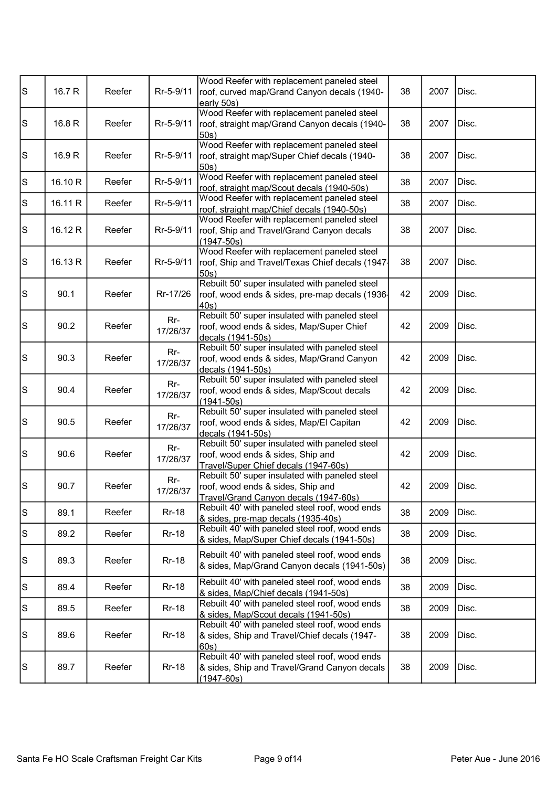| $\mathbb S$                                                                               | 16.7 R  | Reefer | Rr-5-9/11       | Wood Reefer with replacement paneled steel<br>roof, curved map/Grand Canyon decals (1940-<br>early 50s)                      | 38 | 2007 | Disc. |
|-------------------------------------------------------------------------------------------|---------|--------|-----------------|------------------------------------------------------------------------------------------------------------------------------|----|------|-------|
| ls                                                                                        | 16.8 R  | Reefer | Rr-5-9/11       | Wood Reefer with replacement paneled steel<br>roof, straight map/Grand Canyon decals (1940-<br>50s)                          | 38 | 2007 | Disc. |
| $\mathbb S$                                                                               | 16.9 R  | Reefer | Rr-5-9/11       | Wood Reefer with replacement paneled steel<br>roof, straight map/Super Chief decals (1940-<br>50s)                           | 38 | 2007 | Disc. |
| s                                                                                         | 16.10 R | Reefer | Rr-5-9/11       | Wood Reefer with replacement paneled steel<br>roof, straight map/Scout decals (1940-50s)                                     | 38 | 2007 | Disc. |
| $\mathbb S$                                                                               | 16.11 R | Reefer | Rr-5-9/11       | Wood Reefer with replacement paneled steel<br>roof, straight map/Chief decals (1940-50s)                                     | 38 | 2007 | Disc. |
| $\mathbb S$                                                                               | 16.12R  | Reefer | Rr-5-9/11       | Wood Reefer with replacement paneled steel<br>roof, Ship and Travel/Grand Canyon decals<br>$(1947 - 50s)$                    | 38 | 2007 | Disc. |
| $\mathbb S$                                                                               | 16.13R  | Reefer | Rr-5-9/11       | Wood Reefer with replacement paneled steel<br>roof, Ship and Travel/Texas Chief decals (1947-<br>50s)                        | 38 | 2007 | Disc. |
| $\mathbb S$                                                                               | 90.1    | Reefer | Rr-17/26        | Rebuilt 50' super insulated with paneled steel<br>roof, wood ends & sides, pre-map decals (1936-<br>$ 40s\rangle$            | 42 | 2009 | Disc. |
| $\mathbb S$                                                                               | 90.2    | Reefer | Rr-<br>17/26/37 | Rebuilt 50' super insulated with paneled steel<br>roof, wood ends & sides, Map/Super Chief<br>decals (1941-50s)              | 42 | 2009 | Disc. |
| $\mathbb S$                                                                               | 90.3    | Reefer | Rr-<br>17/26/37 | Rebuilt 50' super insulated with paneled steel<br>roof, wood ends & sides, Map/Grand Canyon<br>decals (1941-50s)             | 42 | 2009 | Disc. |
| $\mathsf{S}% _{\mathcal{A}}^{\alpha\beta}$                                                | 90.4    | Reefer | Rr-<br>17/26/37 | Rebuilt 50' super insulated with paneled steel<br>roof, wood ends & sides, Map/Scout decals<br>(1941-50s)                    | 42 | 2009 | Disc. |
| $\mathbb S$                                                                               | 90.5    | Reefer | Rr-<br>17/26/37 | Rebuilt 50' super insulated with paneled steel<br>roof, wood ends & sides, Map/El Capitan<br>decals (1941-50s)               | 42 | 2009 | Disc. |
| $\mathsf{S}% _{\mathcal{A}}\left( t\right) \equiv\mathsf{S}_{\mathcal{A}}\left( t\right)$ | 90.6    | Reefer | Rr-<br>17/26/37 | Rebuilt 50' super insulated with paneled steel<br>roof, wood ends & sides, Ship and<br>Travel/Super Chief decals (1947-60s)  | 42 | 2009 | Disc. |
| $\mathbb S$                                                                               | 90.7    | Reefer | Rr-<br>17/26/37 | Rebuilt 50' super insulated with paneled steel<br>roof, wood ends & sides, Ship and<br>Travel/Grand Canyon decals (1947-60s) | 42 | 2009 | Disc. |
| ls                                                                                        | 89.1    | Reefer | <b>Rr-18</b>    | Rebuilt 40' with paneled steel roof, wood ends<br>& sides, pre-map decals (1935-40s)                                         | 38 | 2009 | Disc. |
| $\mathbb S$                                                                               | 89.2    | Reefer | <b>Rr-18</b>    | Rebuilt 40' with paneled steel roof, wood ends<br>& sides, Map/Super Chief decals (1941-50s)                                 | 38 | 2009 | Disc. |
| $\mathbb S$                                                                               | 89.3    | Reefer | <b>Rr-18</b>    | Rebuilt 40' with paneled steel roof, wood ends<br>& sides, Map/Grand Canyon decals (1941-50s)                                | 38 | 2009 | Disc. |
| $\mathbb S$                                                                               | 89.4    | Reefer | <b>Rr-18</b>    | Rebuilt 40' with paneled steel roof, wood ends<br>& sides, Map/Chief decals (1941-50s)                                       | 38 | 2009 | Disc. |
| $\mathbb S$                                                                               | 89.5    | Reefer | <b>Rr-18</b>    | Rebuilt 40' with paneled steel roof, wood ends<br>& sides, Map/Scout decals (1941-50s)                                       | 38 | 2009 | Disc. |
| $\mathbb S$                                                                               | 89.6    | Reefer | <b>Rr-18</b>    | Rebuilt 40' with paneled steel roof, wood ends<br>& sides, Ship and Travel/Chief decals (1947-<br>60s)                       | 38 | 2009 | Disc. |
| $\mathbb S$                                                                               | 89.7    | Reefer | <b>Rr-18</b>    | Rebuilt 40' with paneled steel roof, wood ends<br>& sides, Ship and Travel/Grand Canyon decals<br>$(1947 - 60s)$             | 38 | 2009 | Disc. |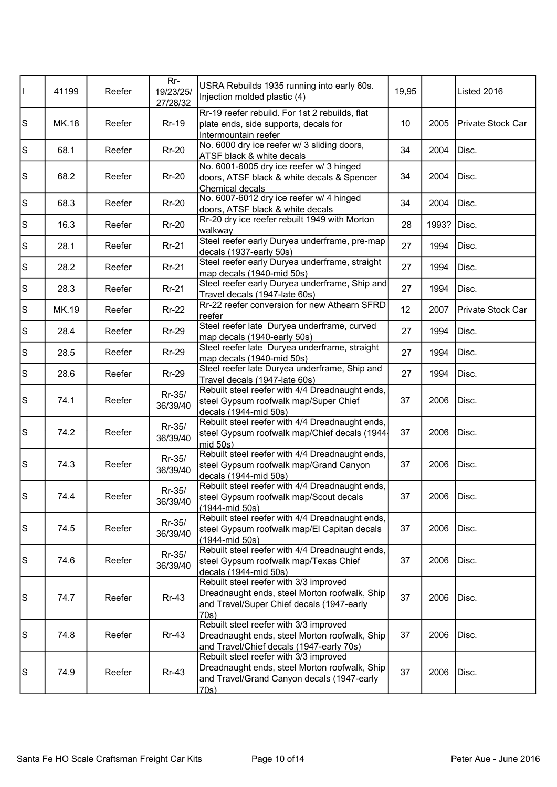| П         | 41199        | Reefer | $Rr-$<br>19/23/25/<br>27/28/32 | USRA Rebuilds 1935 running into early 60s.<br>Injection molded plastic (4)                                                                   | 19,95 |       | Listed 2016              |
|-----------|--------------|--------|--------------------------------|----------------------------------------------------------------------------------------------------------------------------------------------|-------|-------|--------------------------|
| $\vert$ S | <b>MK.18</b> | Reefer | <b>Rr-19</b>                   | Rr-19 reefer rebuild. For 1st 2 rebuilds, flat<br>plate ends, side supports, decals for<br>Intermountain reefer                              | 10    | 2005  | Private Stock Car        |
| $\vert$ S | 68.1         | Reefer | $Rr-20$                        | No. 6000 dry ice reefer w/ 3 sliding doors,<br><b>ATSF black &amp; white decals</b>                                                          | 34    | 2004  | Disc.                    |
| S         | 68.2         | Reefer | <b>Rr-20</b>                   | No. 6001-6005 dry ice reefer w/ 3 hinged<br>doors, ATSF black & white decals & Spencer<br>Chemical decals                                    | 34    | 2004  | Disc.                    |
| $\vert$ S | 68.3         | Reefer | <b>Rr-20</b>                   | No. 6007-6012 dry ice reefer w/ 4 hinged<br>doors, ATSF black & white decals                                                                 | 34    | 2004  | Disc.                    |
| $\vert$ S | 16.3         | Reefer | $Rr-20$                        | Rr-20 dry ice reefer rebuilt 1949 with Morton<br>walkway                                                                                     | 28    | 1993? | Disc.                    |
| S         | 28.1         | Reefer | <b>Rr-21</b>                   | Steel reefer early Duryea underframe, pre-map<br>decals (1937-early 50s)                                                                     | 27    | 1994  | Disc.                    |
| $\vert$ S | 28.2         | Reefer | <b>Rr-21</b>                   | Steel reefer early Duryea underframe, straight<br>map decals (1940-mid 50s)                                                                  | 27    | 1994  | Disc.                    |
| S         | 28.3         | Reefer | <b>Rr-21</b>                   | Steel reefer early Duryea underframe, Ship and<br>Travel decals (1947-late 60s)                                                              | 27    | 1994  | Disc.                    |
| $\vert$ S | MK.19        | Reefer | $Rr-22$                        | Rr-22 reefer conversion for new Athearn SFRD<br>reefer                                                                                       | 12    | 2007  | <b>Private Stock Car</b> |
| $\vert$ S | 28.4         | Reefer | <b>Rr-29</b>                   | Steel reefer late Duryea underframe, curved<br>map decals (1940-early 50s)                                                                   | 27    | 1994  | Disc.                    |
| $\vert$ S | 28.5         | Reefer | <b>Rr-29</b>                   | Steel reefer late Duryea underframe, straight<br>map decals (1940-mid 50s)                                                                   | 27    | 1994  | Disc.                    |
| $\vert$ S | 28.6         | Reefer | <b>Rr-29</b>                   | Steel reefer late Duryea underframe, Ship and<br>Travel decals (1947-late 60s)                                                               | 27    | 1994  | Disc.                    |
| S         | 74.1         | Reefer | Rr-35/<br>36/39/40             | Rebuilt steel reefer with 4/4 Dreadnaught ends,<br>steel Gypsum roofwalk map/Super Chief<br>decals (1944-mid 50s)                            | 37    | 2006  | Disc.                    |
| S         | 74.2         | Reefer | Rr-35/<br>36/39/40             | Rebuilt steel reefer with 4/4 Dreadnaught ends,<br>steel Gypsum roofwalk map/Chief decals (1944-<br>mid 50s)                                 | 37    | 2006  | Disc.                    |
| $\vert$ S | 74.3         | Reefer | Rr-35/<br>36/39/40             | Rebuilt steel reefer with 4/4 Dreadnaught ends,<br>steel Gypsum roofwalk map/Grand Canyon<br>decals (1944-mid 50s)                           | 37    | 2006  | Disc.                    |
| ls        | 74.4         | Reefer | Rr-35/<br>36/39/40             | Rebuilt steel reefer with 4/4 Dreadnaught ends,<br>steel Gypsum roofwalk map/Scout decals<br>$(1944 - mid 50s)$                              | 37    | 2006  | Disc.                    |
| S         | 74.5         | Reefer | Rr-35/<br>36/39/40             | Rebuilt steel reefer with 4/4 Dreadnaught ends,<br>steel Gypsum roofwalk map/El Capitan decals<br>(1944-mid 50s)                             | 37    | 2006  | Disc.                    |
| S         | 74.6         | Reefer | Rr-35/<br>36/39/40             | Rebuilt steel reefer with 4/4 Dreadnaught ends,<br>steel Gypsum roofwalk map/Texas Chief<br>decals (1944-mid 50s)                            | 37    | 2006  | Disc.                    |
| S         | 74.7         | Reefer | $Rr-43$                        | Rebuilt steel reefer with 3/3 improved<br>Dreadnaught ends, steel Morton roofwalk, Ship<br>and Travel/Super Chief decals (1947-early<br>70s) | 37    | 2006  | Disc.                    |
| S         | 74.8         | Reefer | <b>Rr-43</b>                   | Rebuilt steel reefer with 3/3 improved<br>Dreadnaught ends, steel Morton roofwalk, Ship<br>and Travel/Chief decals (1947-early 70s)          | 37    | 2006  | Disc.                    |
| S         | 74.9         | Reefer | $Rr-43$                        | Rebuilt steel reefer with 3/3 improved<br>Dreadnaught ends, steel Morton roofwalk, Ship<br>and Travel/Grand Canyon decals (1947-early<br>70s | 37    | 2006  | Disc.                    |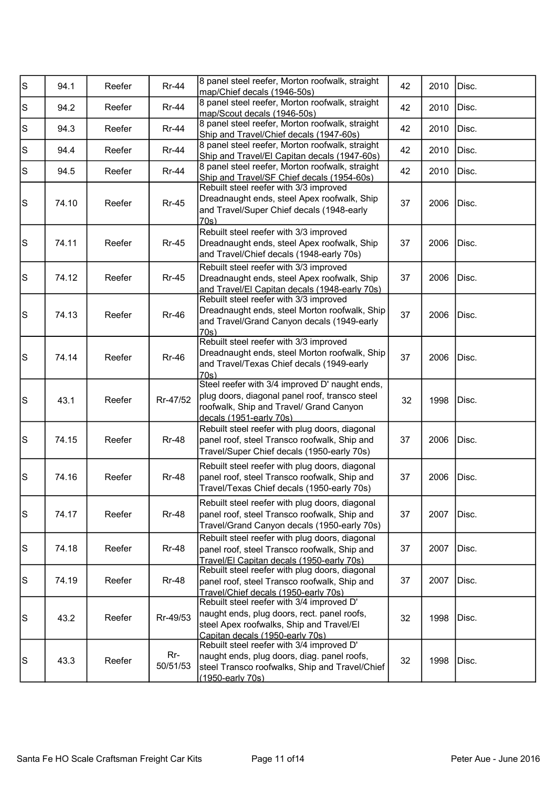| s                                                                                         | 94.1  | Reefer | <b>Rr-44</b>    | 8 panel steel reefer, Morton roofwalk, straight<br>map/Chief decals (1946-50s)                                                                                          | 42 | 2010 | Disc. |
|-------------------------------------------------------------------------------------------|-------|--------|-----------------|-------------------------------------------------------------------------------------------------------------------------------------------------------------------------|----|------|-------|
| $\mathbb S$                                                                               | 94.2  | Reefer | <b>Rr-44</b>    | 8 panel steel reefer, Morton roofwalk, straight<br>map/Scout decals (1946-50s)                                                                                          | 42 | 2010 | Disc. |
| $\mathbb S$                                                                               | 94.3  | Reefer | <b>Rr-44</b>    | 8 panel steel reefer, Morton roofwalk, straight<br>Ship and Travel/Chief decals (1947-60s)                                                                              | 42 | 2010 | Disc. |
| $\mathbb S$                                                                               | 94.4  | Reefer | <b>Rr-44</b>    | 8 panel steel reefer, Morton roofwalk, straight<br>Ship and Travel/El Capitan decals (1947-60s)                                                                         | 42 | 2010 | Disc. |
| $\mathbb S$                                                                               | 94.5  | Reefer | <b>Rr-44</b>    | 8 panel steel reefer, Morton roofwalk, straight<br>Ship and Travel/SF Chief decals (1954-60s)                                                                           | 42 | 2010 | Disc. |
| $\mathbb S$                                                                               | 74.10 | Reefer | <b>Rr-45</b>    | Rebuilt steel reefer with 3/3 improved<br>Dreadnaught ends, steel Apex roofwalk, Ship<br>and Travel/Super Chief decals (1948-early<br>70s)                              | 37 | 2006 | Disc. |
| ls                                                                                        | 74.11 | Reefer | <b>Rr-45</b>    | Rebuilt steel reefer with 3/3 improved<br>Dreadnaught ends, steel Apex roofwalk, Ship<br>and Travel/Chief decals (1948-early 70s)                                       | 37 | 2006 | Disc. |
| $\mathbb S$                                                                               | 74.12 | Reefer | <b>Rr-45</b>    | Rebuilt steel reefer with 3/3 improved<br>Dreadnaught ends, steel Apex roofwalk, Ship<br>and Travel/El Capitan decals (1948-early 70s)                                  | 37 | 2006 | Disc. |
| $\mathbb S$                                                                               | 74.13 | Reefer | <b>Rr-46</b>    | Rebuilt steel reefer with 3/3 improved<br>Dreadnaught ends, steel Morton roofwalk, Ship<br>and Travel/Grand Canyon decals (1949-early<br>70s)                           | 37 | 2006 | Disc. |
| $\mathbb S$                                                                               | 74.14 | Reefer | <b>Rr-46</b>    | Rebuilt steel reefer with 3/3 improved<br>Dreadnaught ends, steel Morton roofwalk, Ship<br>and Travel/Texas Chief decals (1949-early<br>70s)                            | 37 | 2006 | Disc. |
| $\mathsf{S}% _{\mathcal{A}}\left( t\right) \equiv\mathsf{S}_{\mathcal{A}}\left( t\right)$ | 43.1  | Reefer | Rr-47/52        | Steel reefer with 3/4 improved D' naught ends,<br>plug doors, diagonal panel roof, transco steel<br>roofwalk, Ship and Travel/ Grand Canyon<br>decals (1951-early 70s)  | 32 | 1998 | Disc. |
| $\mathsf{S}% _{\mathcal{A}}\left( t\right) \equiv\mathsf{S}_{\mathcal{A}}\left( t\right)$ | 74.15 | Reefer | <b>Rr-48</b>    | Rebuilt steel reefer with plug doors, diagonal<br>panel roof, steel Transco roofwalk, Ship and<br>Travel/Super Chief decals (1950-early 70s)                            | 37 | 2006 | Disc. |
| $\mathbb S$                                                                               | 74.16 | Reefer | <b>Rr-48</b>    | Rebuilt steel reefer with plug doors, diagonal<br>panel roof, steel Transco roofwalk, Ship and<br>Travel/Texas Chief decals (1950-early 70s)                            | 37 | 2006 | Disc. |
| $\mathbb S$                                                                               | 74.17 | Reefer | <b>Rr-48</b>    | Rebuilt steel reefer with plug doors, diagonal<br>panel roof, steel Transco roofwalk, Ship and<br>Travel/Grand Canyon decals (1950-early 70s)                           | 37 | 2007 | Disc. |
| $\mathbb S$                                                                               | 74.18 | Reefer | <b>Rr-48</b>    | Rebuilt steel reefer with plug doors, diagonal<br>panel roof, steel Transco roofwalk, Ship and<br>Travel/El Capitan decals (1950-early 70s)                             | 37 | 2007 | Disc. |
| $\mathbb S$                                                                               | 74.19 | Reefer | <b>Rr-48</b>    | Rebuilt steel reefer with plug doors, diagonal<br>panel roof, steel Transco roofwalk, Ship and<br>Travel/Chief decals (1950-early 70s)                                  | 37 | 2007 | Disc. |
| $\mathbf S$                                                                               | 43.2  | Reefer | Rr-49/53        | Rebuilt steel reefer with 3/4 improved D'<br>naught ends, plug doors, rect. panel roofs,<br>steel Apex roofwalks, Ship and Travel/El<br>Capitan decals (1950-early 70s) | 32 | 1998 | Disc. |
| $\mathbb S$                                                                               | 43.3  | Reefer | Rr-<br>50/51/53 | Rebuilt steel reefer with 3/4 improved D'<br>naught ends, plug doors, diag. panel roofs,<br>steel Transco roofwalks, Ship and Travel/Chief<br>(1950-early 70s)          | 32 | 1998 | Disc. |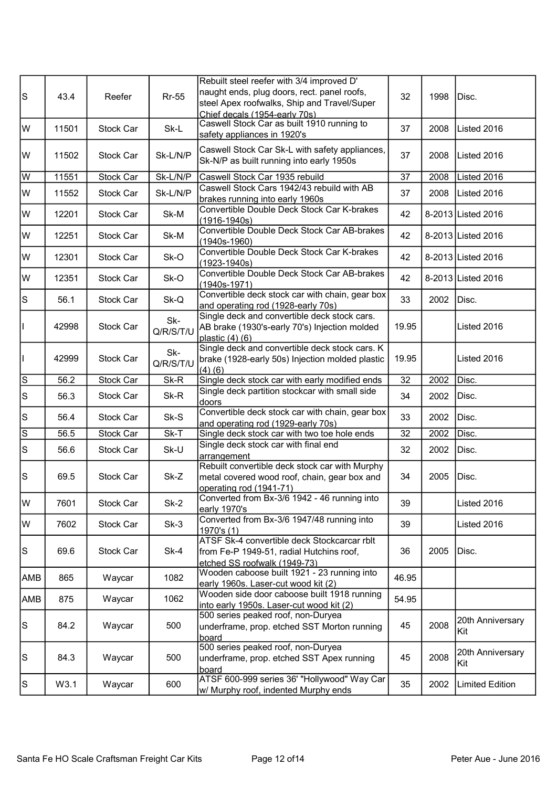| ls.            | 43.4  | Reefer    | <b>Rr-55</b>     | Rebuilt steel reefer with 3/4 improved D'<br>naught ends, plug doors, rect. panel roofs,<br>steel Apex roofwalks, Ship and Travel/Super<br>Chief decals (1954-early 70s) | 32              | 1998 | Disc.                   |
|----------------|-------|-----------|------------------|--------------------------------------------------------------------------------------------------------------------------------------------------------------------------|-----------------|------|-------------------------|
| lw             | 11501 | Stock Car | Sk-L             | Caswell Stock Car as built 1910 running to<br>safety appliances in 1920's                                                                                                | 37              | 2008 | Listed 2016             |
| lw             | 11502 | Stock Car | Sk-L/N/P         | Caswell Stock Car Sk-L with safety appliances,<br>Sk-N/P as built running into early 1950s                                                                               | 37              | 2008 | IListed 2016            |
| W              | 11551 | Stock Car | Sk-L/N/P         | Caswell Stock Car 1935 rebuild                                                                                                                                           | 37              | 2008 | Listed 2016             |
| W              | 11552 | Stock Car | Sk-L/N/P         | Caswell Stock Cars 1942/43 rebuild with AB<br>brakes running into early 1960s                                                                                            | 37              | 2008 | Listed 2016             |
| lw             | 12201 | Stock Car | Sk-M             | Convertible Double Deck Stock Car K-brakes<br>$(1916 - 1940s)$                                                                                                           | 42              |      | 8-2013 Listed 2016      |
| lw             | 12251 | Stock Car | Sk-M             | Convertible Double Deck Stock Car AB-brakes<br>$(1940s-1960)$                                                                                                            | 42              |      | 8-2013 Listed 2016      |
| lw             | 12301 | Stock Car | Sk-O             | Convertible Double Deck Stock Car K-brakes<br>$(1923 - 1940s)$                                                                                                           | 42              |      | 8-2013 Listed 2016      |
| lw             | 12351 | Stock Car | Sk-O             | Convertible Double Deck Stock Car AB-brakes<br>(1940s-1971)                                                                                                              | 42              |      | 8-2013 Listed 2016      |
| ls.            | 56.1  | Stock Car | Sk-Q             | Convertible deck stock car with chain, gear box<br>and operating rod (1928-early 70s)                                                                                    | 33              | 2002 | Disc.                   |
| T              | 42998 | Stock Car | Sk-<br>Q/R/S/T/U | Single deck and convertible deck stock cars.<br>AB brake (1930's-early 70's) Injection molded<br>plastic $(4)$ $(6)$                                                     | 19.95           |      | Listed 2016             |
| $\mathsf{I}$   | 42999 | Stock Car | Sk-<br>Q/R/S/T/U | Single deck and convertible deck stock cars. K<br>brake (1928-early 50s) Injection molded plastic<br>(4)(6)                                                              | 19.95           |      | Listed 2016             |
| ls             | 56.2  | Stock Car | Sk-R             | Single deck stock car with early modified ends                                                                                                                           | $\overline{32}$ | 2002 | Disc.                   |
| $\vert$ S      | 56.3  | Stock Car | Sk-R             | Single deck partition stockcar with small side<br>doors                                                                                                                  | 34              | 2002 | Disc.                   |
| $\vert$ S      | 56.4  | Stock Car | Sk-S             | Convertible deck stock car with chain, gear box<br>and operating rod (1929-early 70s)                                                                                    | 33              | 2002 | Disc.                   |
| $\overline{s}$ | 56.5  | Stock Car | Sk-T             | Single deck stock car with two toe hole ends                                                                                                                             | 32              | 2002 | Disc.                   |
| $\vert$ S      | 56.6  | Stock Car | Sk-U             | Single deck stock car with final end<br>arrangement                                                                                                                      | 32              | 2002 | Disc.                   |
| ls             | 69.5  | Stock Car | Sk-Z             | Rebuilt convertible deck stock car with Murphy<br>metal covered wood roof, chain, gear box and<br>operating rod (1941-71)                                                | 34              | 2005 | Disc.                   |
| lw             | 7601  | Stock Car | $Sk-2$           | Converted from Bx-3/6 1942 - 46 running into<br>early 1970's                                                                                                             | 39              |      | Listed 2016             |
| W              | 7602  | Stock Car | $Sk-3$           | Converted from Bx-3/6 1947/48 running into<br>1970's (1)                                                                                                                 | 39              |      | Listed 2016             |
| S              | 69.6  | Stock Car | $Sk-4$           | ATSF Sk-4 convertible deck Stockcarcar rblt<br>from Fe-P 1949-51, radial Hutchins roof,<br>etched SS roofwalk (1949-73)                                                  | 36              | 2005 | Disc.                   |
| <b>AMB</b>     | 865   | Waycar    | 1082             | Wooden caboose built 1921 - 23 running into<br>early 1960s. Laser-cut wood kit (2)                                                                                       | 46.95           |      |                         |
| AMB            | 875   | Waycar    | 1062             | Wooden side door caboose built 1918 running<br>into early 1950s. Laser-cut wood kit (2)                                                                                  | 54.95           |      |                         |
| ls             | 84.2  | Waycar    | 500              | 500 series peaked roof, non-Duryea<br>underframe, prop. etched SST Morton running<br>board                                                                               | 45              | 2008 | 20th Anniversary<br>Kit |
| ls             | 84.3  | Waycar    | 500              | 500 series peaked roof, non-Duryea<br>underframe, prop. etched SST Apex running<br>board                                                                                 | 45              | 2008 | 20th Anniversary<br>Kit |
| $\vert$ S      | W3.1  | Waycar    | 600              | ATSF 600-999 series 36' "Hollywood" Way Car<br>w/ Murphy roof, indented Murphy ends                                                                                      | 35              | 2002 | <b>Limited Edition</b>  |
|                |       |           |                  |                                                                                                                                                                          |                 |      |                         |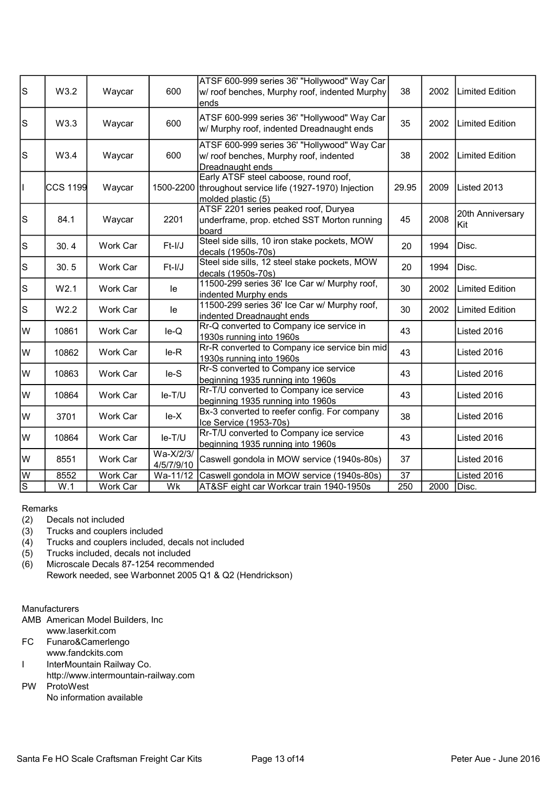| $\vert$ S      | W3.2            | Waycar   | 600                     | ATSF 600-999 series 36' "Hollywood" Way Car<br>w/ roof benches, Murphy roof, indented Murphy<br>ends         | 38    | 2002 | <b>Limited Edition</b>  |
|----------------|-----------------|----------|-------------------------|--------------------------------------------------------------------------------------------------------------|-------|------|-------------------------|
| $\vert$ S      | W3.3            | Waycar   | 600                     | ATSF 600-999 series 36' "Hollywood" Way Car<br>w/ Murphy roof, indented Dreadnaught ends                     | 35    | 2002 | Limited Edition         |
| $\vert$ S      | W3.4            | Waycar   | 600                     | ATSF 600-999 series 36' "Hollywood" Way Car<br>w/ roof benches, Murphy roof, indented<br>Dreadnaught ends    | 38    | 2002 | <b>Limited Edition</b>  |
| H              | <b>CCS 1199</b> | Waycar   | 1500-2200               | Early ATSF steel caboose, round roof,<br>throughout service life (1927-1970) Injection<br>molded plastic (5) | 29.95 | 2009 | Listed 2013             |
| $\vert$ S      | 84.1            | Waycar   | 2201                    | ATSF 2201 series peaked roof, Duryea<br>underframe, prop. etched SST Morton running<br>board                 | 45    | 2008 | 20th Anniversary<br>Kit |
| $\vert$ S      | 30.4            | Work Car | $Ft-I/J$                | Steel side sills, 10 iron stake pockets, MOW<br>decals (1950s-70s)                                           | 20    | 1994 | Disc.                   |
| $\vert$ S      | 30.5            | Work Car | $Ft-I/J$                | Steel side sills, 12 steel stake pockets, MOW<br>decals (1950s-70s)                                          | 20    | 1994 | Disc.                   |
| $\vert$ S      | W2.1            | Work Car | le                      | 11500-299 series 36' Ice Car w/ Murphy roof,<br>indented Murphy ends                                         | 30    | 2002 | <b>Limited Edition</b>  |
| S              | W2.2            | Work Car | le                      | 11500-299 series 36' Ice Car w/ Murphy roof,<br>indented Dreadnaught ends                                    | 30    | 2002 | <b>Limited Edition</b>  |
| lw             | 10861           | Work Car | $le-Q$                  | Rr-Q converted to Company ice service in<br>1930s running into 1960s                                         | 43    |      | Listed 2016             |
| lw             | 10862           | Work Car | $le-R$                  | Rr-R converted to Company ice service bin mid<br>1930s running into 1960s                                    | 43    |      | Listed 2016             |
| lw             | 10863           | Work Car | $le-S$                  | Rr-S converted to Company ice service<br>beginning 1935 running into 1960s                                   | 43    |      | Listed 2016             |
| lw             | 10864           | Work Car | le-T/U                  | Rr-T/U converted to Company ice service<br>beginning 1935 running into 1960s                                 | 43    |      | Listed 2016             |
| lw             | 3701            | Work Car | $le-X$                  | Bx-3 converted to reefer config. For company<br>Ice Service (1953-70s)                                       | 38    |      | Listed 2016             |
| W              | 10864           | Work Car | le-T/U                  | Rr-T/U converted to Company ice service<br>beginning 1935 running into 1960s                                 | 43    |      | Listed 2016             |
| lw             | 8551            | Work Car | Wa-X/2/3/<br>4/5/7/9/10 | Caswell gondola in MOW service (1940s-80s)                                                                   | 37    |      | Listed 2016             |
| W              | 8552            | Work Car | Wa-11/12                | Caswell gondola in MOW service (1940s-80s)                                                                   | 37    |      | Listed 2016             |
| $\overline{s}$ | W.1             | Work Car | Wk                      | AT&SF eight car Workcar train 1940-1950s                                                                     | 250   | 2000 | Disc.                   |
|                |                 |          |                         |                                                                                                              |       |      |                         |

## Remarks

- (2) Decals not included<br>(3) Trucks and couplers
- (3) Trucks and couplers included<br>(4) Trucks and couplers included
- Trucks and couplers included, decals not included
- (5) Trucks included, decals not included
- (6) Microscale Decals 87-1254 recommended Rework needed, see Warbonnet 2005 Q1 & Q2 (Hendrickson)

## **Manufacturers**

- AMB American Model Builders, Inc www.laserkit.com
- FC Funaro&Camerlengo
- www.fandckits.com
- I InterMountain Railway Co.
- http://www.intermountain-railway.com
- PW ProtoWest
	- No information available